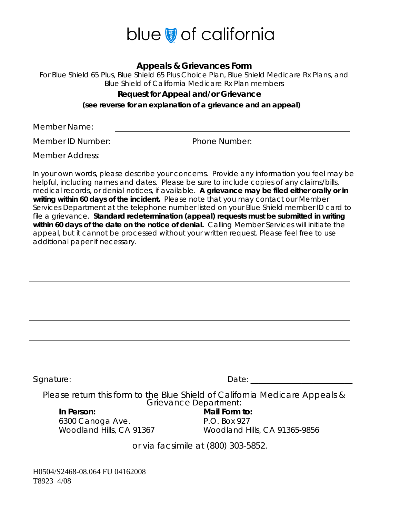

#### **Appeals & Grievances Form**

For Blue Shield 65 Plus, Blue Shield 65 Plus Choice Plan, Blue Shield Medicare Rx Plans, and Blue Shield of California Medicare Rx Plan members

#### **Request for Appeal and/or Grievance**

**(see reverse for an explanation of a grievance and an appeal)** 

Member Name:

Member ID Number: Phone Number:

Member Address:

In your own words, please describe your concerns. Provide any information you feel may be helpful, including names and dates. Please be sure to include copies of any claims/bills, medical records, or denial notices, if available. **A grievance may be filed either orally or in writing within 60 days of the incident.** Please note that you may contact our Member Services Department at the telephone number listed on your Blue Shield member ID card to file a grievance. **Standard redetermination (appeal) requests must be submitted in writing within 60 days of the date on the notice of denial.** Calling Member Services will initiate the appeal, but it cannot be processed without your written request. Please feel free to use additional paper if necessary.

| Signature:                                                                                           | Date:                         |
|------------------------------------------------------------------------------------------------------|-------------------------------|
| Please return this form to the Blue Shield of California Medicare Appeals &<br>Grievance Department: |                               |
| In Person:                                                                                           | Mail Form to:                 |
| 6300 Canoga Ave.                                                                                     | P.O. Box 927                  |
| Woodland Hills, CA 91367                                                                             | Woodland Hills, CA 91365-9856 |
| or via facsimile at (800) 303-5852.                                                                  |                               |

H0504/S2468-08.064 FU 04162008 T8923 4/08